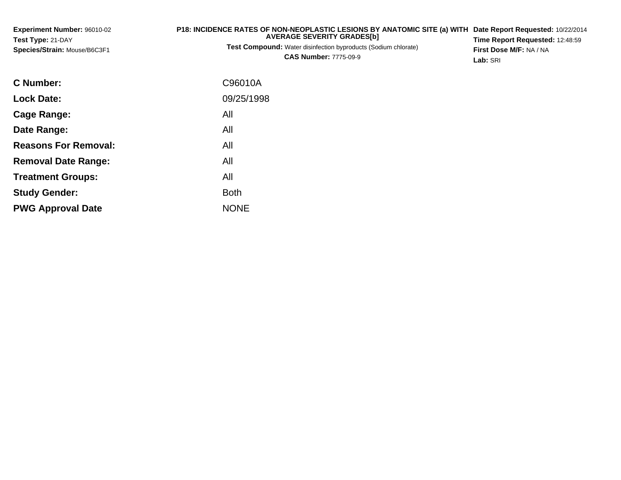| Experiment Number: 96010-02  | P18: INCIDENCE RATES OF NON-NEOPLASTIC LESIONS BY ANATOMIC SITE (a) WITH Date Report Requested: 10/22/2014 |                                        |
|------------------------------|------------------------------------------------------------------------------------------------------------|----------------------------------------|
| Test Type: 21-DAY            | <b>AVERAGE SEVERITY GRADES[b]</b>                                                                          | <b>Time Report Requested: 12:48:59</b> |
| Species/Strain: Mouse/B6C3F1 | <b>Test Compound:</b> Water disinfection byproducts (Sodium chlorate)                                      | <b>First Dose M/F: NA / NA</b>         |
|                              | <b>CAS Number: 7775-09-9</b>                                                                               | Lab: SRI                               |

| <b>C Number:</b>            | C96010A     |
|-----------------------------|-------------|
| <b>Lock Date:</b>           | 09/25/1998  |
| <b>Cage Range:</b>          | All         |
| Date Range:                 | All         |
| <b>Reasons For Removal:</b> | All         |
| <b>Removal Date Range:</b>  | All         |
| <b>Treatment Groups:</b>    | All         |
| <b>Study Gender:</b>        | <b>Both</b> |
| <b>PWG Approval Date</b>    | <b>NONE</b> |
|                             |             |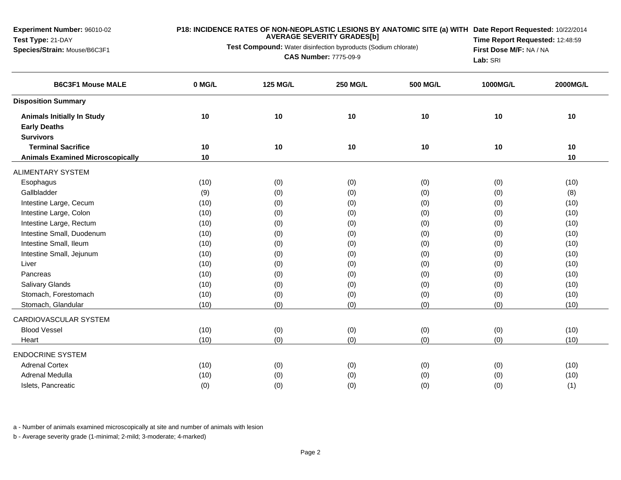#### **P18: INCIDENCE RATES OF NON-NEOPLASTIC LESIONS BY ANATOMIC SITE (a) WITH AVERAGE SEVERITY GRADES[b] Date Report Requested:** 10/22/2014

**Test Compound:** Water disinfection byproducts (Sodium chlorate)

**CAS Number:** 7775-09-9

**Time Report Requested:** 12:48:59**First Dose M/F:** NA / NA**Lab:** SRI

| <b>B6C3F1 Mouse MALE</b>                | 0 MG/L | <b>125 MG/L</b> | <b>250 MG/L</b> | <b>500 MG/L</b> | 1000MG/L | 2000MG/L |
|-----------------------------------------|--------|-----------------|-----------------|-----------------|----------|----------|
| <b>Disposition Summary</b>              |        |                 |                 |                 |          |          |
| <b>Animals Initially In Study</b>       | $10$   | 10              | 10              | 10              | 10       | 10       |
| <b>Early Deaths</b>                     |        |                 |                 |                 |          |          |
| <b>Survivors</b>                        |        |                 |                 |                 |          |          |
| <b>Terminal Sacrifice</b>               | 10     | 10              | 10              | 10              | 10       | 10       |
| <b>Animals Examined Microscopically</b> | 10     |                 |                 |                 |          | 10       |
| <b>ALIMENTARY SYSTEM</b>                |        |                 |                 |                 |          |          |
| Esophagus                               | (10)   | (0)             | (0)             | (0)             | (0)      | (10)     |
| Gallbladder                             | (9)    | (0)             | (0)             | (0)             | (0)      | (8)      |
| Intestine Large, Cecum                  | (10)   | (0)             | (0)             | (0)             | (0)      | (10)     |
| Intestine Large, Colon                  | (10)   | (0)             | (0)             | (0)             | (0)      | (10)     |
| Intestine Large, Rectum                 | (10)   | (0)             | (0)             | (0)             | (0)      | (10)     |
| Intestine Small, Duodenum               | (10)   | (0)             | (0)             | (0)             | (0)      | (10)     |
| Intestine Small, Ileum                  | (10)   | (0)             | (0)             | (0)             | (0)      | (10)     |
| Intestine Small, Jejunum                | (10)   | (0)             | (0)             | (0)             | (0)      | (10)     |
| Liver                                   | (10)   | (0)             | (0)             | (0)             | (0)      | (10)     |
| Pancreas                                | (10)   | (0)             | (0)             | (0)             | (0)      | (10)     |
| Salivary Glands                         | (10)   | (0)             | (0)             | (0)             | (0)      | (10)     |
| Stomach, Forestomach                    | (10)   | (0)             | (0)             | (0)             | (0)      | (10)     |
| Stomach, Glandular                      | (10)   | (0)             | (0)             | (0)             | (0)      | (10)     |
| CARDIOVASCULAR SYSTEM                   |        |                 |                 |                 |          |          |
| <b>Blood Vessel</b>                     | (10)   | (0)             | (0)             | (0)             | (0)      | (10)     |
| Heart                                   | (10)   | (0)             | (0)             | (0)             | (0)      | (10)     |
| <b>ENDOCRINE SYSTEM</b>                 |        |                 |                 |                 |          |          |
| <b>Adrenal Cortex</b>                   | (10)   | (0)             | (0)             | (0)             | (0)      | (10)     |
| Adrenal Medulla                         | (10)   | (0)             | (0)             | (0)             | (0)      | (10)     |
| Islets, Pancreatic                      | (0)    | (0)             | (0)             | (0)             | (0)      | (1)      |

a - Number of animals examined microscopically at site and number of animals with lesion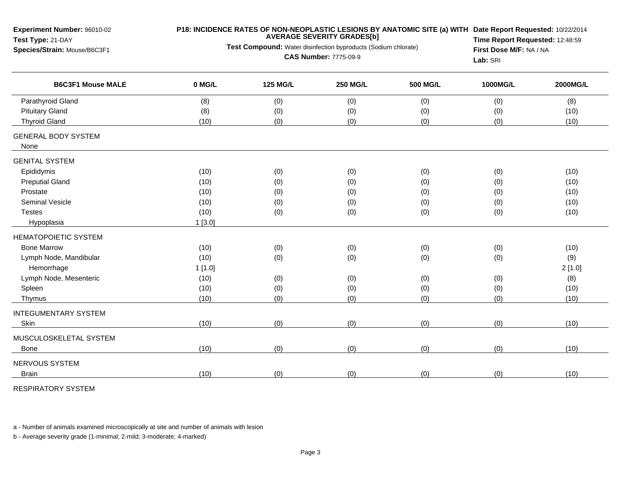| Experiment Number: 96010-02<br>Test Type: 21-DAY<br>Species/Strain: Mouse/B6C3F1 | Test Compound: Water disinfection byproducts (Sodium chlorate) | P18: INCIDENCE RATES OF NON-NEOPLASTIC LESIONS BY ANATOMIC SITE (a) WITH Date Report Requested: 10/22/2014<br>Time Report Requested: 12:48:59<br>First Dose M/F: NA / NA<br>Lab: SRI |                 |                 |          |          |
|----------------------------------------------------------------------------------|----------------------------------------------------------------|--------------------------------------------------------------------------------------------------------------------------------------------------------------------------------------|-----------------|-----------------|----------|----------|
| <b>B6C3F1 Mouse MALE</b>                                                         | 0 MG/L                                                         | <b>125 MG/L</b>                                                                                                                                                                      | <b>250 MG/L</b> | <b>500 MG/L</b> | 1000MG/L | 2000MG/L |
| Parathyroid Gland                                                                | (8)                                                            | (0)                                                                                                                                                                                  | (0)             | (0)             | (0)      | (8)      |
| <b>Pituitary Gland</b>                                                           | (8)                                                            | (0)                                                                                                                                                                                  | (0)             | (0)             | (0)      | (10)     |
| <b>Thyroid Gland</b>                                                             | (10)                                                           | (0)                                                                                                                                                                                  | (0)             | (0)             | (0)      | (10)     |
| <b>GENERAL BODY SYSTEM</b><br>None                                               |                                                                |                                                                                                                                                                                      |                 |                 |          |          |
| <b>GENITAL SYSTEM</b>                                                            |                                                                |                                                                                                                                                                                      |                 |                 |          |          |
| Epididymis                                                                       | (10)                                                           | (0)                                                                                                                                                                                  | (0)             | (0)             | (0)      | (10)     |
| <b>Preputial Gland</b>                                                           | (10)                                                           | (0)                                                                                                                                                                                  | (0)             | (0)             | (0)      | (10)     |
| Prostate                                                                         | (10)                                                           | (0)                                                                                                                                                                                  | (0)             | (0)             | (0)      | (10)     |
| Seminal Vesicle                                                                  | (10)                                                           | (0)                                                                                                                                                                                  | (0)             | (0)             | (0)      | (10)     |
| <b>Testes</b>                                                                    | (10)                                                           | (0)                                                                                                                                                                                  | (0)             | (0)             | (0)      | (10)     |
| Hypoplasia                                                                       | 1[3.0]                                                         |                                                                                                                                                                                      |                 |                 |          |          |
| <b>HEMATOPOIETIC SYSTEM</b>                                                      |                                                                |                                                                                                                                                                                      |                 |                 |          |          |
| <b>Bone Marrow</b>                                                               | (10)                                                           | (0)                                                                                                                                                                                  | (0)             | (0)             | (0)      | (10)     |
| Lymph Node, Mandibular                                                           | (10)                                                           | (0)                                                                                                                                                                                  | (0)             | (0)             | (0)      | (9)      |
| Hemorrhage                                                                       | 1[1.0]                                                         |                                                                                                                                                                                      |                 |                 |          | 2[1.0]   |
| Lymph Node, Mesenteric                                                           | (10)                                                           | (0)                                                                                                                                                                                  | (0)             | (0)             | (0)      | (8)      |
| Spleen                                                                           | (10)                                                           | (0)                                                                                                                                                                                  | (0)             | (0)             | (0)      | (10)     |
| Thymus                                                                           | (10)                                                           | (0)                                                                                                                                                                                  | (0)             | (0)             | (0)      | (10)     |
| <b>INTEGUMENTARY SYSTEM</b>                                                      |                                                                |                                                                                                                                                                                      |                 |                 |          |          |
| Skin                                                                             | (10)                                                           | (0)                                                                                                                                                                                  | (0)             | (0)             | (0)      | (10)     |
| MUSCULOSKELETAL SYSTEM                                                           |                                                                |                                                                                                                                                                                      |                 |                 |          |          |
| Bone                                                                             | (10)                                                           | (0)                                                                                                                                                                                  | (0)             | (0)             | (0)      | (10)     |
| NERVOUS SYSTEM                                                                   |                                                                |                                                                                                                                                                                      |                 |                 |          |          |
| <b>Brain</b>                                                                     | (10)                                                           | (0)                                                                                                                                                                                  | (0)             | (0)             | (0)      | (10)     |

RESPIRATORY SYSTEM

a - Number of animals examined microscopically at site and number of animals with lesion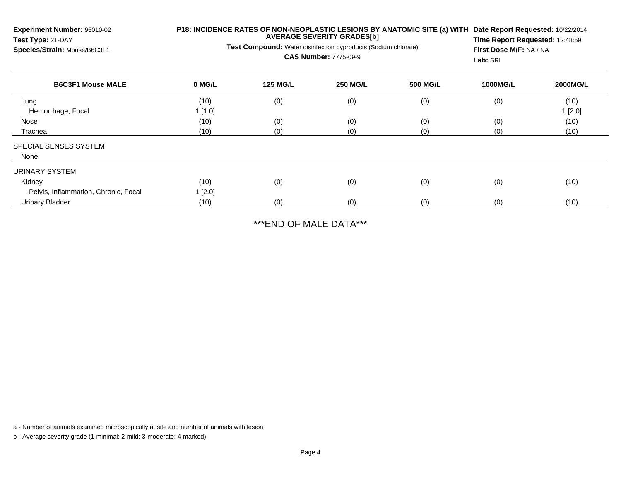**Experiment Number:** 96010-02**Test Type:** 21-DAY **Species/Strain:** Mouse/B6C3F1**P18: INCIDENCE RATES OF NON-NEOPLASTIC LESIONS BY ANATOMIC SITE (a) WITHDate Report Requested:** 10/22/2014**AVERAGE SEVERITY GRADES[b]Test Compound:** Water disinfection byproducts (Sodium chlorate)**CAS Number:** 7775-09-9**Time Report Requested:** 12:48:59**First Dose M/F:** NA / NA**Lab:** SRI**B6C3F1 Mouse MALE 0 MG/L 125 MG/L 250 MG/L 500 MG/L 1000MG/L 2000MG/L** Lung (10) (0) (0) (0) (0) (10) Hemorrhage, Focal 1 [1.0] $1 \, [2.0]$ Nosee (10) (0) (0) (0) (0) (0) (0) (0) (0) (10) Tracheaa (10) (0) (0) (0) (0) (0) (0) (10) SPECIAL SENSES SYSTEMNoneURINARY SYSTEMKidneyy (10) (0) (0) (0) (0) (0) (0) (0) (0) (10) Pelvis, Inflammation, Chronic, Focal1 [2.0]

\*\*\*END OF MALE DATA\*\*\*

(10) (0) (0) (0) (0) (10)

a - Number of animals examined microscopically at site and number of animals with lesion

b - Average severity grade (1-minimal; 2-mild; 3-moderate; 4-marked)

Urinary Bladder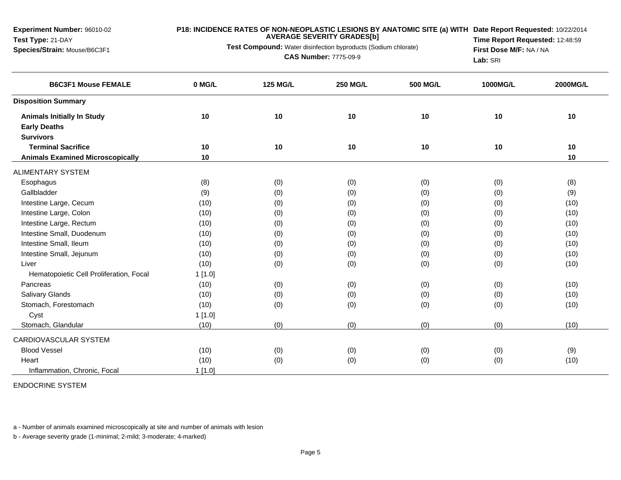### **P18: INCIDENCE RATES OF NON-NEOPLASTIC LESIONS BY ANATOMIC SITE (a) WITH AVERAGE SEVERITY GRADES[b] Date Report Requested:** 10/22/2014

**Test Compound:** Water disinfection byproducts (Sodium chlorate)

**CAS Number:** 7775-09-9

**Time Report Requested:** 12:48:59**First Dose M/F:** NA / NA**Lab:** SRI

| <b>B6C3F1 Mouse FEMALE</b>              | 0 MG/L | <b>125 MG/L</b> | <b>250 MG/L</b> | <b>500 MG/L</b> | 1000MG/L | 2000MG/L |
|-----------------------------------------|--------|-----------------|-----------------|-----------------|----------|----------|
| <b>Disposition Summary</b>              |        |                 |                 |                 |          |          |
| <b>Animals Initially In Study</b>       | 10     | 10              | 10              | 10              | 10       | 10       |
| <b>Early Deaths</b>                     |        |                 |                 |                 |          |          |
| <b>Survivors</b>                        |        |                 |                 |                 |          |          |
| <b>Terminal Sacrifice</b>               | 10     | 10              | 10              | 10              | 10       | 10       |
| <b>Animals Examined Microscopically</b> | 10     |                 |                 |                 |          | 10       |
| <b>ALIMENTARY SYSTEM</b>                |        |                 |                 |                 |          |          |
| Esophagus                               | (8)    | (0)             | (0)             | (0)             | (0)      | (8)      |
| Gallbladder                             | (9)    | (0)             | (0)             | (0)             | (0)      | (9)      |
| Intestine Large, Cecum                  | (10)   | (0)             | (0)             | (0)             | (0)      | (10)     |
| Intestine Large, Colon                  | (10)   | (0)             | (0)             | (0)             | (0)      | (10)     |
| Intestine Large, Rectum                 | (10)   | (0)             | (0)             | (0)             | (0)      | (10)     |
| Intestine Small, Duodenum               | (10)   | (0)             | (0)             | (0)             | (0)      | (10)     |
| Intestine Small, Ileum                  | (10)   | (0)             | (0)             | (0)             | (0)      | (10)     |
| Intestine Small, Jejunum                | (10)   | (0)             | (0)             | (0)             | (0)      | (10)     |
| Liver                                   | (10)   | (0)             | (0)             | (0)             | (0)      | (10)     |
| Hematopoietic Cell Proliferation, Focal | 1[1.0] |                 |                 |                 |          |          |
| Pancreas                                | (10)   | (0)             | (0)             | (0)             | (0)      | (10)     |
| <b>Salivary Glands</b>                  | (10)   | (0)             | (0)             | (0)             | (0)      | (10)     |
| Stomach, Forestomach                    | (10)   | (0)             | (0)             | (0)             | (0)      | (10)     |
| Cyst                                    | 1[1.0] |                 |                 |                 |          |          |
| Stomach, Glandular                      | (10)   | (0)             | (0)             | (0)             | (0)      | (10)     |
| CARDIOVASCULAR SYSTEM                   |        |                 |                 |                 |          |          |
| <b>Blood Vessel</b>                     | (10)   | (0)             | (0)             | (0)             | (0)      | (9)      |
| Heart                                   | (10)   | (0)             | (0)             | (0)             | (0)      | (10)     |
| Inflammation, Chronic, Focal            | 1[1.0] |                 |                 |                 |          |          |

ENDOCRINE SYSTEM

a - Number of animals examined microscopically at site and number of animals with lesion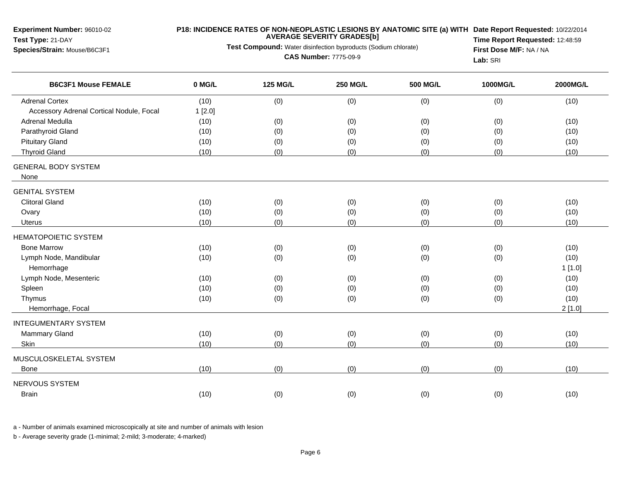### **P18: INCIDENCE RATES OF NON-NEOPLASTIC LESIONS BY ANATOMIC SITE (a) WITH AVERAGE SEVERITY GRADES[b] Date Report Requested:** 10/22/2014

**Test Compound:** Water disinfection byproducts (Sodium chlorate)

**CAS Number:** 7775-09-9

**Time Report Requested:** 12:48:59**First Dose M/F:** NA / NA**Lab:** SRI

| <b>B6C3F1 Mouse FEMALE</b>               | 0 MG/L | <b>125 MG/L</b> | <b>250 MG/L</b> | <b>500 MG/L</b> | 1000MG/L | 2000MG/L |
|------------------------------------------|--------|-----------------|-----------------|-----------------|----------|----------|
| <b>Adrenal Cortex</b>                    | (10)   | (0)             | (0)             | (0)             | (0)      | (10)     |
| Accessory Adrenal Cortical Nodule, Focal | 1[2.0] |                 |                 |                 |          |          |
| Adrenal Medulla                          | (10)   | (0)             | (0)             | (0)             | (0)      | (10)     |
| Parathyroid Gland                        | (10)   | (0)             | (0)             | (0)             | (0)      | (10)     |
| <b>Pituitary Gland</b>                   | (10)   | (0)             | (0)             | (0)             | (0)      | (10)     |
| <b>Thyroid Gland</b>                     | (10)   | (0)             | (0)             | (0)             | (0)      | (10)     |
| <b>GENERAL BODY SYSTEM</b>               |        |                 |                 |                 |          |          |
| None                                     |        |                 |                 |                 |          |          |
| <b>GENITAL SYSTEM</b>                    |        |                 |                 |                 |          |          |
| <b>Clitoral Gland</b>                    | (10)   | (0)             | (0)             | (0)             | (0)      | (10)     |
| Ovary                                    | (10)   | (0)             | (0)             | (0)             | (0)      | (10)     |
| Uterus                                   | (10)   | (0)             | (0)             | (0)             | (0)      | (10)     |
| <b>HEMATOPOIETIC SYSTEM</b>              |        |                 |                 |                 |          |          |
| <b>Bone Marrow</b>                       | (10)   | (0)             | (0)             | (0)             | (0)      | (10)     |
| Lymph Node, Mandibular                   | (10)   | (0)             | (0)             | (0)             | (0)      | (10)     |
| Hemorrhage                               |        |                 |                 |                 |          | 1[1.0]   |
| Lymph Node, Mesenteric                   | (10)   | (0)             | (0)             | (0)             | (0)      | (10)     |
| Spleen                                   | (10)   | (0)             | (0)             | (0)             | (0)      | (10)     |
| Thymus                                   | (10)   | (0)             | (0)             | (0)             | (0)      | (10)     |
| Hemorrhage, Focal                        |        |                 |                 |                 |          | 2[1.0]   |
| <b>INTEGUMENTARY SYSTEM</b>              |        |                 |                 |                 |          |          |
| Mammary Gland                            | (10)   | (0)             | (0)             | (0)             | (0)      | (10)     |
| Skin                                     | (10)   | (0)             | (0)             | (0)             | (0)      | (10)     |
| MUSCULOSKELETAL SYSTEM                   |        |                 |                 |                 |          |          |
| <b>Bone</b>                              | (10)   | (0)             | (0)             | (0)             | (0)      | (10)     |
| NERVOUS SYSTEM                           |        |                 |                 |                 |          |          |
| <b>Brain</b>                             | (10)   | (0)             | (0)             | (0)             | (0)      | (10)     |

a - Number of animals examined microscopically at site and number of animals with lesion